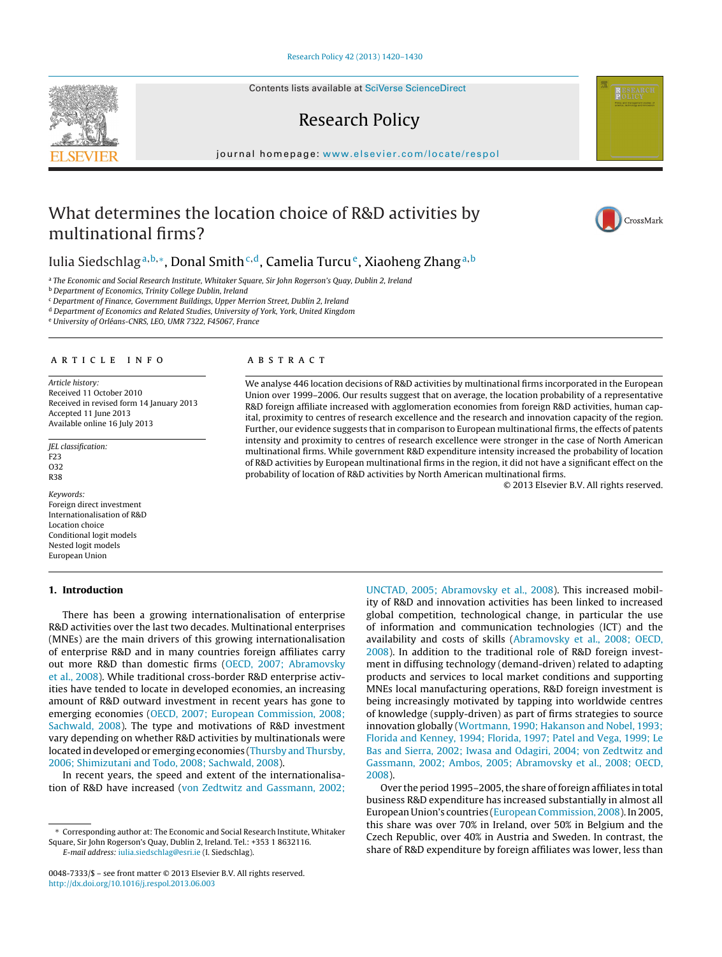Contents lists available at SciVerse [ScienceDirect](http://www.sciencedirect.com/science/journal/00487333)

## Research Policy

jou rnal homepage: [www.elsevier.com/locate/respol](http://www.elsevier.com/locate/respol)

# What determines the location choice of R&D activities by multinational firms?

### Iulia Siedschlag<sup>a,b,∗</sup>, Donal Smith<sup>c,d</sup>, Camelia Turcu<sup>e</sup>, Xiaoheng Zhang<sup>a,b</sup>

a The Economic and Social Research Institute, Whitaker Square, Sir John Rogerson's Quay, Dublin 2, Ireland

**b** Department of Economics, Trinity College Dublin, Ireland

<sup>c</sup> Department of Finance, Government Buildings, Upper Merrion Street, Dublin 2, Ireland

<sup>d</sup> Department of Economics and Related Studies, University of York, York, United Kingdom

<sup>e</sup> University of Orléans-CNRS, LEO, UMR 7322, F45067, France

#### a r t i c l e i n f o

Article history: Received 11 October 2010 Received in revised form 14 January 2013 Accepted 11 June 2013 Available online 16 July 2013

JEL classification: F23 O32 R38

Keywords: Foreign direct investment Internationalisation of R&D Location choice Conditional logit models Nested logit models European Union

#### **1. Introduction**

There has been a growing internationalisation of enterprise R&D activities over the last two decades. Multinational enterprises (MNEs) are the main drivers of this growing internationalisation of enterprise R&D and in many countries foreign affiliates carry out more R&D than domestic firms ([OECD,](#page--1-0) [2007;](#page--1-0) [Abramovsky](#page--1-0) et [al.,](#page--1-0) [2008\).](#page--1-0) While traditional cross-border R&D enterprise activities have tended to locate in developed economies, an increasing amount of R&D outward investment in recent years has gone to emerging economies [\(OECD,](#page--1-0) [2007;](#page--1-0) [European](#page--1-0) [Commission,](#page--1-0) [2008;](#page--1-0) [Sachwald,](#page--1-0) [2008\).](#page--1-0) The type and motivations of R&D investment vary depending on whether R&D activities by multinationals were located indeveloped or emerging economies ([Thursby](#page--1-0) [and](#page--1-0) [Thursby,](#page--1-0) [2006;](#page--1-0) [Shimizutani](#page--1-0) [and](#page--1-0) [Todo,](#page--1-0) [2008;](#page--1-0) [Sachwald,](#page--1-0) [2008\).](#page--1-0)

In recent years, the speed and extent of the internationalisation of R&D have increased ([von](#page--1-0) [Zedtwitz](#page--1-0) [and](#page--1-0) [Gassmann,](#page--1-0) [2002;](#page--1-0)

#### A B S T R A C T

We analyse 446 location decisions of R&D activities by multinational firms incorporated in the European Union over 1999–2006. Our results suggest that on average, the location probability of a representative R&D foreign affiliate increased with agglomeration economies from foreign R&D activities, human capital, proximity to centres of research excellence and the research and innovation capacity of the region. Further, our evidence suggests that in comparison to European multinational firms, the effects of patents intensity and proximity to centres of research excellence were stronger in the case of North American multinational firms. While government R&D expenditure intensity increased the probability of location of R&D activities by European multinational firms in the region, it did not have a significant effect on the probability of location of R&D activities by North American multinational firms.

© 2013 Elsevier B.V. All rights reserved.

[UNCTAD,](#page--1-0) [2005;](#page--1-0) [Abramovsky](#page--1-0) et [al.,](#page--1-0) [2008\).](#page--1-0) This increased mobility of R&D and innovation activities has been linked to increased global competition, technological change, in particular the use of information and communication technologies (ICT) and the availability and costs of skills [\(Abramovsky](#page--1-0) et [al.,](#page--1-0) [2008;](#page--1-0) [OECD,](#page--1-0) [2008\).](#page--1-0) In addition to the traditional role of R&D foreign investment in diffusing technology (demand-driven) related to adapting products and services to local market conditions and supporting MNEs local manufacturing operations, R&D foreign investment is being increasingly motivated by tapping into worldwide centres of knowledge (supply-driven) as part of firms strategies to source innovation globally [\(Wortmann,](#page--1-0) [1990;](#page--1-0) [Hakanson](#page--1-0) [and](#page--1-0) [Nobel,](#page--1-0) [1993;](#page--1-0) [Florida](#page--1-0) [and](#page--1-0) [Kenney,](#page--1-0) [1994;](#page--1-0) [Florida,](#page--1-0) [1997;](#page--1-0) [Patel](#page--1-0) [and](#page--1-0) [Vega,](#page--1-0) [1999;](#page--1-0) [Le](#page--1-0) [Bas](#page--1-0) [and](#page--1-0) [Sierra,](#page--1-0) [2002;](#page--1-0) [Iwasa](#page--1-0) [and](#page--1-0) [Odagiri,](#page--1-0) [2004;](#page--1-0) [von](#page--1-0) [Zedtwitz](#page--1-0) [and](#page--1-0) [Gassmann,](#page--1-0) [2002;](#page--1-0) [Ambos,](#page--1-0) [2005;](#page--1-0) [Abramovsky](#page--1-0) et [al.,](#page--1-0) [2008;](#page--1-0) [OECD,](#page--1-0) [2008\).](#page--1-0)

Over the period 1995–2005, the share of foreign affiliates in total business R&D expenditure has increased substantially in almost all European Union's countries [\(European](#page--1-0) [Commission,](#page--1-0) [2008\).](#page--1-0) In 2005, this share was over 70% in Ireland, over 50% in Belgium and the Czech Republic, over 40% in Austria and Sweden. In contrast, the share of R&D expenditure by foreign affiliates was lower, less than





<sup>∗</sup> Corresponding author at: The Economic and Social Research Institute, Whitaker Square, Sir John Rogerson's Quay, Dublin 2, Ireland. Tel.: +353 1 8632116. E-mail address: [iulia.siedschlag@esri.ie](mailto:iulia.siedschlag@esri.ie) (I. Siedschlag).

<sup>0048-7333/\$</sup> – see front matter © 2013 Elsevier B.V. All rights reserved.

[http://dx.doi.org/10.1016/j.respol.2013.06.003](dx.doi.org/10.1016/j.respol.2013.06.003)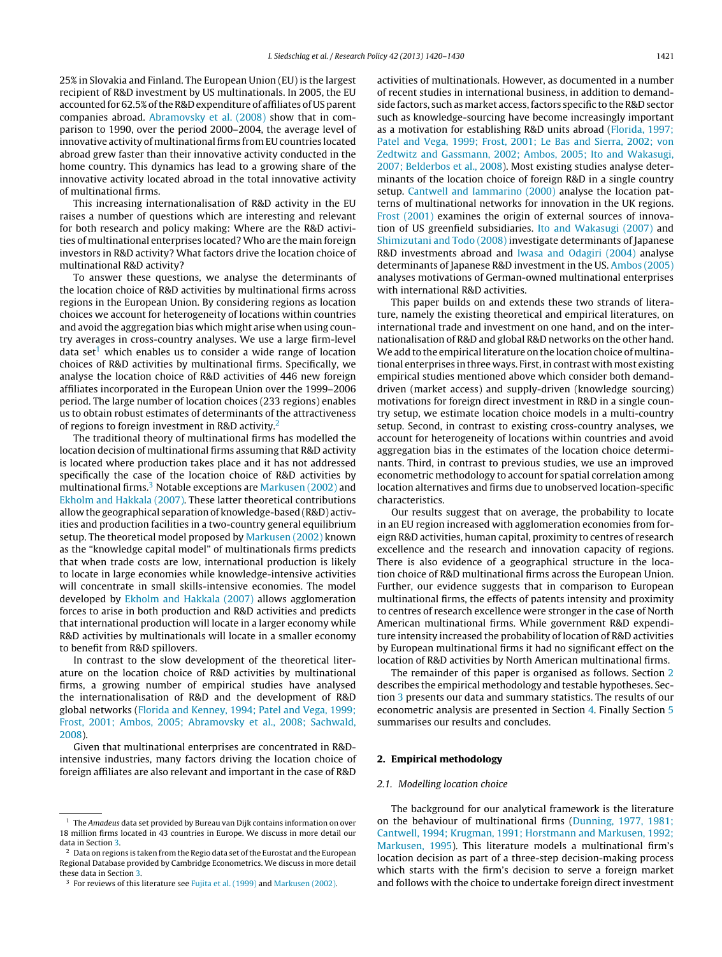25% in Slovakia and Finland. The European Union (EU) is the largest recipient of R&D investment by US multinationals. In 2005, the EU accounted for 62.5% of the R&D expenditure of affiliates of US parent companies abroad. [Abramovsky](#page--1-0) et [al.](#page--1-0) [\(2008\)](#page--1-0) show that in comparison to 1990, over the period 2000–2004, the average level of innovative activity of multinational firms from EU countries located abroad grew faster than their innovative activity conducted in the home country. This dynamics has lead to a growing share of the innovative activity located abroad in the total innovative activity of multinational firms.

This increasing internationalisation of R&D activity in the EU raises a number of questions which are interesting and relevant for both research and policy making: Where are the R&D activities of multinational enterprises located? Who are the main foreign investors in R&D activity? What factors drive the location choice of multinational R&D activity?

To answer these questions, we analyse the determinants of the location choice of R&D activities by multinational firms across regions in the European Union. By considering regions as location choices we account for heterogeneity of locations within countries and avoid the aggregation bias which might arise when using country averages in cross-country analyses. We use a large firm-level data set<sup>1</sup> which enables us to consider a wide range of location choices of R&D activities by multinational firms. Specifically, we analyse the location choice of R&D activities of 446 new foreign affiliates incorporated in the European Union over the 1999–2006 period. The large number of location choices (233 regions) enables us to obtain robust estimates of determinants of the attractiveness of regions to foreign investment in R&D activity.2

The traditional theory of multinational firms has modelled the location decision of multinational firms assuming that R&D activity is located where production takes place and it has not addressed specifically the case of the location choice of R&D activities by multinational firms.<sup>3</sup> Notable exceptions are [Markusen](#page--1-0) [\(2002\)](#page--1-0) and [Ekholm](#page--1-0) [and](#page--1-0) [Hakkala](#page--1-0) [\(2007\).](#page--1-0) These latter theoretical contributions allow the geographical separation of knowledge-based (R&D) activities and production facilities in a two-country general equilibrium setup. The theoretical model proposed by [Markusen](#page--1-0) [\(2002\)](#page--1-0) known as the "knowledge capital model" of multinationals firms predicts that when trade costs are low, international production is likely to locate in large economies while knowledge-intensive activities will concentrate in small skills-intensive economies. The model developed by [Ekholm](#page--1-0) [and](#page--1-0) [Hakkala](#page--1-0) [\(2007\)](#page--1-0) allows agglomeration forces to arise in both production and R&D activities and predicts that international production will locate in a larger economy while R&D activities by multinationals will locate in a smaller economy to benefit from R&D spillovers.

In contrast to the slow development of the theoretical literature on the location choice of R&D activities by multinational firms, a growing number of empirical studies have analysed the internationalisation of R&D and the development of R&D global networks ([Florida](#page--1-0) [and](#page--1-0) [Kenney,](#page--1-0) [1994;](#page--1-0) [Patel](#page--1-0) [and](#page--1-0) [Vega,](#page--1-0) [1999;](#page--1-0) [Frost,](#page--1-0) [2001;](#page--1-0) [Ambos,](#page--1-0) [2005;](#page--1-0) [Abramovsky](#page--1-0) et [al.,](#page--1-0) [2008;](#page--1-0) [Sachwald,](#page--1-0) [2008\).](#page--1-0)

Given that multinational enterprises are concentrated in R&Dintensive industries, many factors driving the location choice of foreign affiliates are also relevant and important in the case of R&D

activities of multinationals. However, as documented in a number of recent studies in international business, in addition to demandside factors, such as market access, factors specific to the R&D sector such as knowledge-sourcing have become increasingly important as a motivation for establishing R&D units abroad ([Florida,](#page--1-0) [1997;](#page--1-0) [Patel](#page--1-0) [and](#page--1-0) [Vega,](#page--1-0) [1999;](#page--1-0) [Frost,](#page--1-0) [2001;](#page--1-0) [Le](#page--1-0) [Bas](#page--1-0) [and](#page--1-0) [Sierra,](#page--1-0) [2002;](#page--1-0) [von](#page--1-0) [Zedtwitz](#page--1-0) [and](#page--1-0) [Gassmann,](#page--1-0) [2002;](#page--1-0) [Ambos,](#page--1-0) [2005;](#page--1-0) [Ito](#page--1-0) [and](#page--1-0) [Wakasugi,](#page--1-0) [2007;](#page--1-0) [Belderbos](#page--1-0) et [al.,](#page--1-0) [2008\).](#page--1-0) Most existing studies analyse determinants of the location choice of foreign R&D in a single country setup. [Cantwell](#page--1-0) [and](#page--1-0) [Iammarino](#page--1-0) [\(2000\)](#page--1-0) analyse the location patterns of multinational networks for innovation in the UK regions. [Frost](#page--1-0) [\(2001\)](#page--1-0) examines the origin of external sources of innovation of US greenfield subsidiaries. [Ito](#page--1-0) [and](#page--1-0) [Wakasugi](#page--1-0) [\(2007\)](#page--1-0) and [Shimizutani](#page--1-0) [and](#page--1-0) [Todo](#page--1-0) [\(2008\)](#page--1-0) investigate determinants of Japanese R&D investments abroad and [Iwasa](#page--1-0) [and](#page--1-0) [Odagiri](#page--1-0) [\(2004\)](#page--1-0) analyse determinants of Japanese R&D investment in the US. [Ambos](#page--1-0) [\(2005\)](#page--1-0) analyses motivations of German-owned multinational enterprises with international R&D activities.

This paper builds on and extends these two strands of literature, namely the existing theoretical and empirical literatures, on international trade and investment on one hand, and on the internationalisation of R&D and global R&D networks on the other hand. We add to the empirical literature on the location choice of multinational enterprises in three ways. First, in contrast with most existing empirical studies mentioned above which consider both demanddriven (market access) and supply-driven (knowledge sourcing) motivations for foreign direct investment in R&D in a single country setup, we estimate location choice models in a multi-country setup. Second, in contrast to existing cross-country analyses, we account for heterogeneity of locations within countries and avoid aggregation bias in the estimates of the location choice determinants. Third, in contrast to previous studies, we use an improved econometric methodology to account for spatial correlation among location alternatives and firms due to unobserved location-specific characteristics.

Our results suggest that on average, the probability to locate in an EU region increased with agglomeration economies from foreign R&D activities, human capital, proximity to centres of research excellence and the research and innovation capacity of regions. There is also evidence of a geographical structure in the location choice of R&D multinational firms across the European Union. Further, our evidence suggests that in comparison to European multinational firms, the effects of patents intensity and proximity to centres of research excellence were stronger in the case of North American multinational firms. While government R&D expenditure intensity increased the probability of location of R&D activities by European multinational firms it had no significant effect on the location of R&D activities by North American multinational firms.

The remainder of this paper is organised as follows. Section 2 describes the empirical methodology and testable hypotheses. Section [3](#page--1-0) presents our data and summary statistics. The results of our econometric analysis are presented in Section [4.](#page--1-0) Finally Section [5](#page--1-0) summarises our results and concludes.

#### **2. Empirical methodology**

#### 2.1. Modelling location choice

The background for our analytical framework is the literature on the behaviour of multinational firms [\(Dunning,](#page--1-0) [1977,](#page--1-0) [1981;](#page--1-0) [Cantwell,](#page--1-0) [1994;](#page--1-0) [Krugman,](#page--1-0) [1991;](#page--1-0) [Horstmann](#page--1-0) [and](#page--1-0) [Markusen,](#page--1-0) [1992;](#page--1-0) [Markusen,](#page--1-0) [1995\).](#page--1-0) This literature models a multinational firm's location decision as part of a three-step decision-making process which starts with the firm's decision to serve a foreign market and follows with the choice to undertake foreign direct investment

 $1$  The Amadeus data set provided by Bureau van Dijk contains information on over 18 million firms located in 43 countries in Europe. We discuss in more detail our data in Section [3.](#page--1-0)

Data on regions is taken from the Regio data set of the Eurostat and the European Regional Database provided by Cambridge Econometrics. We discuss in more detail these data in Section [3.](#page--1-0)

<sup>&</sup>lt;sup>3</sup> For reviews of this literature see [Fujita](#page--1-0) et [al.](#page--1-0) [\(1999\)](#page--1-0) and [Markusen](#page--1-0) [\(2002\).](#page--1-0)